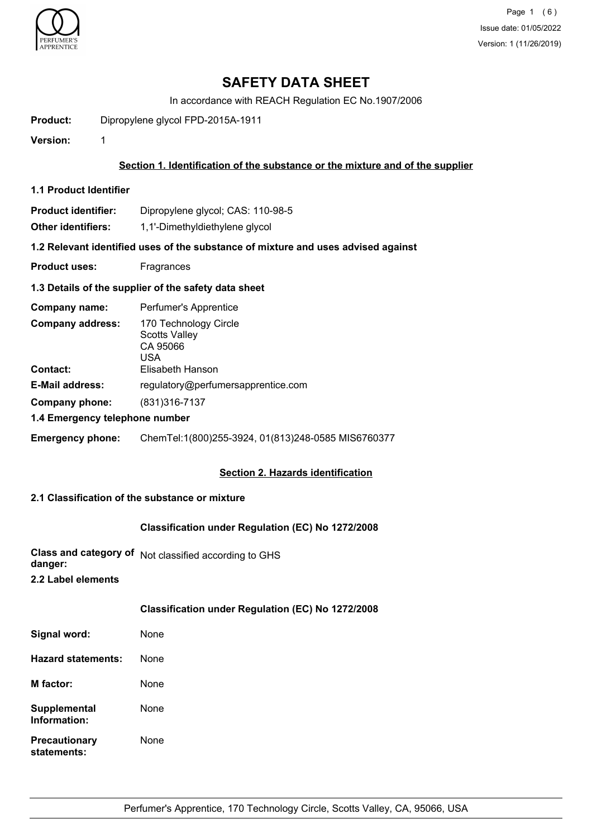

Page 1 (6) Issue date: 01/05/2022 Version: 1 (11/26/2019)

# **SAFETY DATA SHEET**

In accordance with REACH Regulation EC No.1907/2006

**Product:** Dipropylene glycol FPD-2015A-1911

**Version:** 1

## **Section 1. Identification of the substance or the mixture and of the supplier**

- **1.1 Product Identifier**
- **Product identifier:** Dipropylene glycol; CAS: 110-98-5

**Other identifiers:** 1,1'-Dimethyldiethylene glycol

**1.2 Relevant identified uses of the substance of mixture and uses advised against**

**Product uses:** Fragrances

#### **1.3 Details of the supplier of the safety data sheet**

| Company name:                              | Perfumer's Apprentice                                                                |
|--------------------------------------------|--------------------------------------------------------------------------------------|
| <b>Company address:</b><br><b>Contact:</b> | 170 Technology Circle<br><b>Scotts Valley</b><br>CA 95066<br>USA<br>Elisabeth Hanson |
| <b>E-Mail address:</b>                     | regulatory@perfumersapprentice.com                                                   |
| Company phone:                             | (831) 316 - 7137                                                                     |
| 1.4 Emergency telephone number             |                                                                                      |
| <b>Emergency phone:</b>                    | ChemTel:1(800)255-3924, 01(813)248-0585 MIS6760377                                   |

## **Section 2. Hazards identification**

# **2.1 Classification of the substance or mixture**

#### **Classification under Regulation (EC) No 1272/2008**

**Class and category of** Not classified according to GHS **danger:**

**2.2 Label elements**

| Classification under Regulation (EC) No 1272/2008 |  |  |  |
|---------------------------------------------------|--|--|--|
|---------------------------------------------------|--|--|--|

| Signal word:                        | None |
|-------------------------------------|------|
| <b>Hazard statements:</b>           | None |
| M factor:                           | None |
| Supplemental<br>Information:        | None |
| <b>Precautionary</b><br>statements: | None |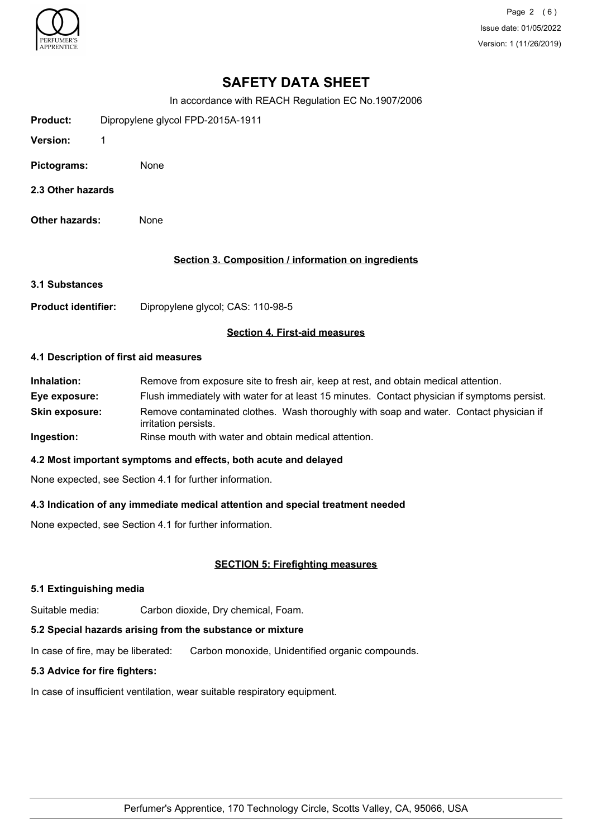

Page 2 (6) Issue date: 01/05/2022 Version: 1 (11/26/2019)

# **SAFETY DATA SHEET**

In accordance with REACH Regulation EC No.1907/2006

| Product:        | Dipropylene glycol FPD-2015A-1911 |  |
|-----------------|-----------------------------------|--|
| <b>Version:</b> |                                   |  |
| Pictograms:     | None                              |  |

- **2.3 Other hazards**
- **Other hazards:** None

## **Section 3. Composition / information on ingredients**

#### **3.1 Substances**

**Product identifier:** Dipropylene glycol; CAS: 110-98-5

#### **Section 4. First-aid measures**

#### **4.1 Description of first aid measures**

| Inhalation:           | Remove from exposure site to fresh air, keep at rest, and obtain medical attention.                            |
|-----------------------|----------------------------------------------------------------------------------------------------------------|
| Eye exposure:         | Flush immediately with water for at least 15 minutes. Contact physician if symptoms persist.                   |
| <b>Skin exposure:</b> | Remove contaminated clothes. Wash thoroughly with soap and water. Contact physician if<br>irritation persists. |
| Ingestion:            | Rinse mouth with water and obtain medical attention.                                                           |

## **4.2 Most important symptoms and effects, both acute and delayed**

None expected, see Section 4.1 for further information.

## **4.3 Indication of any immediate medical attention and special treatment needed**

None expected, see Section 4.1 for further information.

## **SECTION 5: Firefighting measures**

#### **5.1 Extinguishing media**

Suitable media: Carbon dioxide, Dry chemical, Foam.

## **5.2 Special hazards arising from the substance or mixture**

In case of fire, may be liberated: Carbon monoxide, Unidentified organic compounds.

## **5.3 Advice for fire fighters:**

In case of insufficient ventilation, wear suitable respiratory equipment.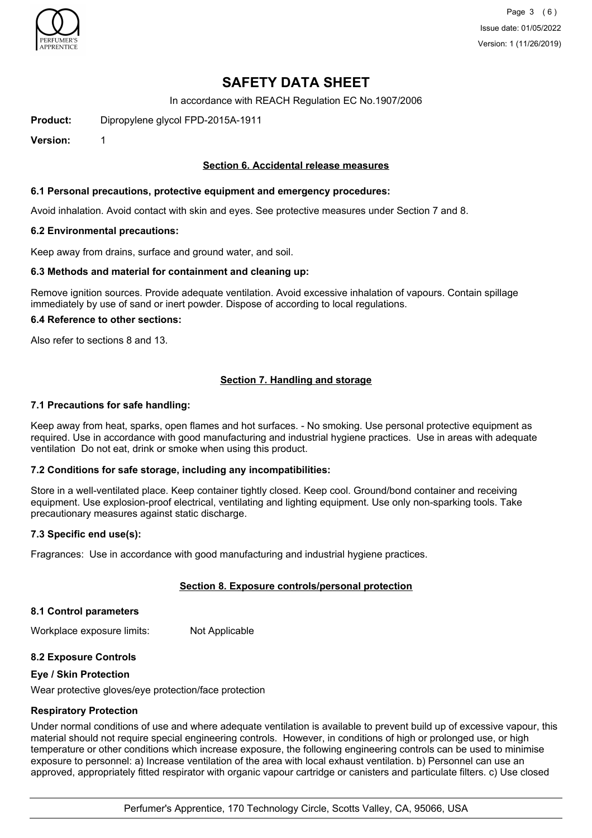

# **SAFETY DATA SHEET**

In accordance with REACH Regulation EC No.1907/2006

**Product:** Dipropylene glycol FPD-2015A-1911

**Version:** 1

## **Section 6. Accidental release measures**

## **6.1 Personal precautions, protective equipment and emergency procedures:**

Avoid inhalation. Avoid contact with skin and eyes. See protective measures under Section 7 and 8.

#### **6.2 Environmental precautions:**

Keep away from drains, surface and ground water, and soil.

#### **6.3 Methods and material for containment and cleaning up:**

Remove ignition sources. Provide adequate ventilation. Avoid excessive inhalation of vapours. Contain spillage immediately by use of sand or inert powder. Dispose of according to local regulations.

#### **6.4 Reference to other sections:**

Also refer to sections 8 and 13.

## **Section 7. Handling and storage**

#### **7.1 Precautions for safe handling:**

Keep away from heat, sparks, open flames and hot surfaces. - No smoking. Use personal protective equipment as required. Use in accordance with good manufacturing and industrial hygiene practices. Use in areas with adequate ventilation Do not eat, drink or smoke when using this product.

## **7.2 Conditions for safe storage, including any incompatibilities:**

Store in a well-ventilated place. Keep container tightly closed. Keep cool. Ground/bond container and receiving equipment. Use explosion-proof electrical, ventilating and lighting equipment. Use only non-sparking tools. Take precautionary measures against static discharge.

## **7.3 Specific end use(s):**

Fragrances: Use in accordance with good manufacturing and industrial hygiene practices.

## **Section 8. Exposure controls/personal protection**

#### **8.1 Control parameters**

Workplace exposure limits: Not Applicable

## **8.2 Exposure Controls**

#### **Eye / Skin Protection**

Wear protective gloves/eye protection/face protection

## **Respiratory Protection**

Under normal conditions of use and where adequate ventilation is available to prevent build up of excessive vapour, this material should not require special engineering controls. However, in conditions of high or prolonged use, or high temperature or other conditions which increase exposure, the following engineering controls can be used to minimise exposure to personnel: a) Increase ventilation of the area with local exhaust ventilation. b) Personnel can use an approved, appropriately fitted respirator with organic vapour cartridge or canisters and particulate filters. c) Use closed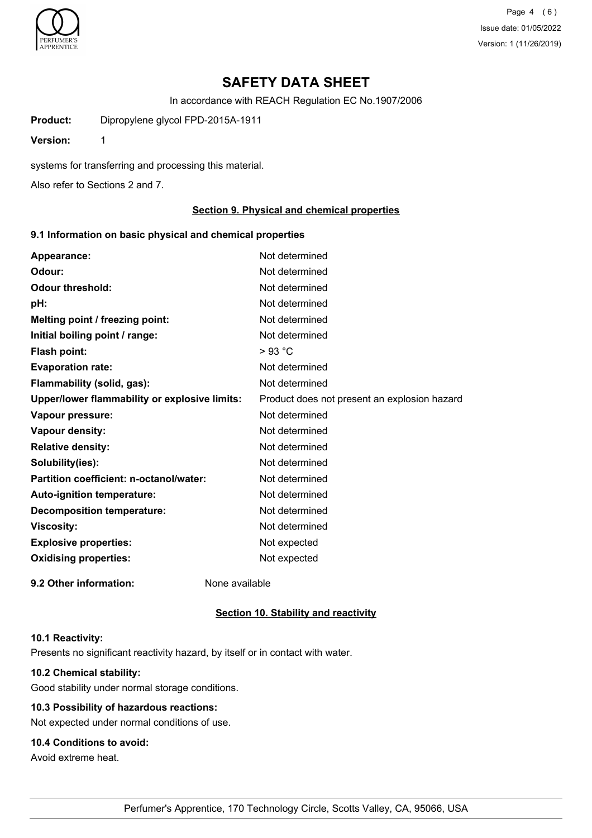

Page 4 (6) Issue date: 01/05/2022 Version: 1 (11/26/2019)

# **SAFETY DATA SHEET**

In accordance with REACH Regulation EC No.1907/2006

**Product:** Dipropylene glycol FPD-2015A-1911

**Version:** 1

systems for transferring and processing this material.

Also refer to Sections 2 and 7.

#### **Section 9. Physical and chemical properties**

#### **9.1 Information on basic physical and chemical properties**

| Appearance:                                   | Not determined                               |
|-----------------------------------------------|----------------------------------------------|
| Odour:                                        | Not determined                               |
| <b>Odour threshold:</b>                       | Not determined                               |
| pH:                                           | Not determined                               |
| Melting point / freezing point:               | Not determined                               |
| Initial boiling point / range:                | Not determined                               |
| Flash point:                                  | $>93$ °C                                     |
| <b>Evaporation rate:</b>                      | Not determined                               |
| Flammability (solid, gas):                    | Not determined                               |
| Upper/lower flammability or explosive limits: | Product does not present an explosion hazard |
| Vapour pressure:                              | Not determined                               |
| Vapour density:                               | Not determined                               |
| <b>Relative density:</b>                      | Not determined                               |
| Solubility(ies):                              | Not determined                               |
| Partition coefficient: n-octanol/water:       | Not determined                               |
| Auto-ignition temperature:                    | Not determined                               |
| <b>Decomposition temperature:</b>             | Not determined                               |
| <b>Viscosity:</b>                             | Not determined                               |
| <b>Explosive properties:</b>                  | Not expected                                 |
| <b>Oxidising properties:</b>                  | Not expected                                 |
| 9.2 Other information:                        | None available                               |

#### **Section 10. Stability and reactivity**

#### **10.1 Reactivity:**

Presents no significant reactivity hazard, by itself or in contact with water.

## **10.2 Chemical stability:**

Good stability under normal storage conditions.

# **10.3 Possibility of hazardous reactions:**

Not expected under normal conditions of use.

# **10.4 Conditions to avoid:**

Avoid extreme heat.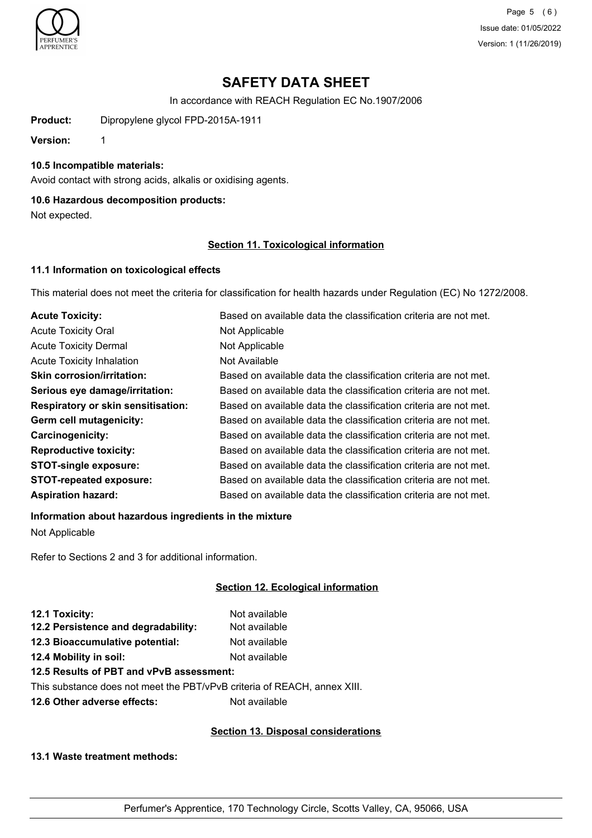

Page 5 (6) Issue date: 01/05/2022 Version: 1 (11/26/2019)

# **SAFETY DATA SHEET**

In accordance with REACH Regulation EC No.1907/2006

**Product:** Dipropylene glycol FPD-2015A-1911

**Version:** 1

#### **10.5 Incompatible materials:**

Avoid contact with strong acids, alkalis or oxidising agents.

## **10.6 Hazardous decomposition products:**

Not expected.

## **Section 11. Toxicological information**

## **11.1 Information on toxicological effects**

This material does not meet the criteria for classification for health hazards under Regulation (EC) No 1272/2008.

| <b>Acute Toxicity:</b>                    | Based on available data the classification criteria are not met. |
|-------------------------------------------|------------------------------------------------------------------|
| <b>Acute Toxicity Oral</b>                | Not Applicable                                                   |
| <b>Acute Toxicity Dermal</b>              | Not Applicable                                                   |
| <b>Acute Toxicity Inhalation</b>          | Not Available                                                    |
| <b>Skin corrosion/irritation:</b>         | Based on available data the classification criteria are not met. |
| Serious eye damage/irritation:            | Based on available data the classification criteria are not met. |
| <b>Respiratory or skin sensitisation:</b> | Based on available data the classification criteria are not met. |
| Germ cell mutagenicity:                   | Based on available data the classification criteria are not met. |
| <b>Carcinogenicity:</b>                   | Based on available data the classification criteria are not met. |
| <b>Reproductive toxicity:</b>             | Based on available data the classification criteria are not met. |
| <b>STOT-single exposure:</b>              | Based on available data the classification criteria are not met. |
| <b>STOT-repeated exposure:</b>            | Based on available data the classification criteria are not met. |
| <b>Aspiration hazard:</b>                 | Based on available data the classification criteria are not met. |

# **Information about hazardous ingredients in the mixture**

Not Applicable

Refer to Sections 2 and 3 for additional information.

## **Section 12. Ecological information**

| 12.1 Toxicity:                      | Not available |
|-------------------------------------|---------------|
| 12.2 Persistence and degradability: | Not available |
| 12.3 Bioaccumulative potential:     | Not available |
| 12.4 Mobility in soil:              | Not available |
|                                     |               |

## **12.5 Results of PBT and vPvB assessment:**

This substance does not meet the PBT/vPvB criteria of REACH, annex XIII.

**12.6 Other adverse effects:** Not available

## **Section 13. Disposal considerations**

**13.1 Waste treatment methods:**